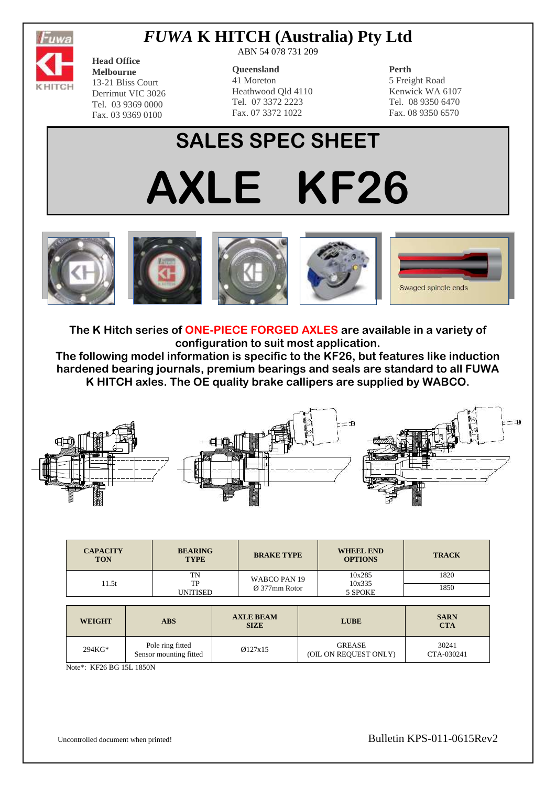

## *FUWA* **K HITCH (Australia) Pty Ltd**

13-21 Bliss Court Derrimut VIC 3026 Tel. 03 9369 0000 Fax. 03 9369 0100

**Head Office Melbourne**

ABN 54 078 731 209

#### **Queensland**

41 Moreton Heathwood Qld 4110 Tel. 07 3372 2223 Fax. 07 3372 1022

### **Perth**

5 Freight Road Kenwick WA 6107 Tel. 08 9350 6470 Fax. 08 9350 6570

# **SALES SPEC SHEET AXLE KF26**



**The K Hitch series of ONE-PIECE FORGED AXLES are available in a variety of configuration to suit most application.**

**The following model information is specific to the KF26, but features like induction hardened bearing journals, premium bearings and seals are standard to all FUWA K HITCH axles. The OE quality brake callipers are supplied by WABCO.**



| <b>CAPACITY</b><br><b>TON</b> | <b>BEARING</b><br><b>TYPE</b> | <b>BRAKE TYPE</b>         | <b>WHEEL END</b><br><b>OPTIONS</b> | <b>TRACK</b> |
|-------------------------------|-------------------------------|---------------------------|------------------------------------|--------------|
|                               | TN                            | WABCO PAN 19              | 10x285                             | 1820         |
| 11.5t                         | TP<br>UNITISED                | $\varnothing$ 377mm Rotor | 10x335<br>5 SPOKE                  | 1850         |

| <b>WEIGHT</b> | <b>ABS</b>                                 | <b>AXLE BEAM</b><br><b>SIZE</b> | <b>LUBE</b>                            | <b>SARN</b><br><b>CTA</b> |
|---------------|--------------------------------------------|---------------------------------|----------------------------------------|---------------------------|
| $294KG*$      | Pole ring fitted<br>Sensor mounting fitted | Ø127x15                         | <b>GREASE</b><br>(OIL ON REQUEST ONLY) | 30241<br>CTA-030241       |

Note\*: KF26 BG 15L 1850N

Uncontrolled document when printed! Bulletin KPS-011-0615Rev2